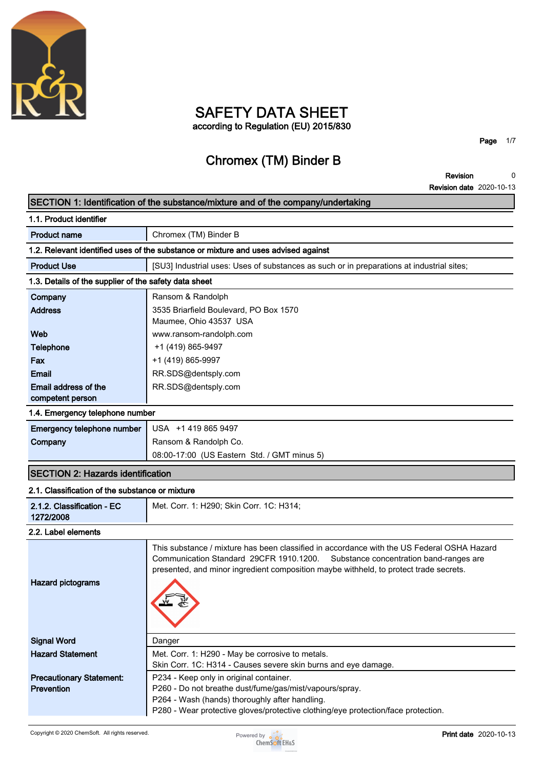

## **SAFETY DATA SHEET according to Regulation (EU) 2015/830**

**Page 1/7**

# **Chromex (TM) Binder B**

**Revision Revision date 2020-10-13 0**

## **SECTION 1: Identification of the substance/mixture and of the company/undertaking**

| 1.1. Product identifier                               |                                                                                                                                                                                                                                                                           |
|-------------------------------------------------------|---------------------------------------------------------------------------------------------------------------------------------------------------------------------------------------------------------------------------------------------------------------------------|
| <b>Product name</b>                                   | Chromex (TM) Binder B                                                                                                                                                                                                                                                     |
|                                                       | 1.2. Relevant identified uses of the substance or mixture and uses advised against                                                                                                                                                                                        |
| <b>Product Use</b>                                    | [SU3] Industrial uses: Uses of substances as such or in preparations at industrial sites;                                                                                                                                                                                 |
| 1.3. Details of the supplier of the safety data sheet |                                                                                                                                                                                                                                                                           |
| Company                                               | Ransom & Randolph                                                                                                                                                                                                                                                         |
| <b>Address</b>                                        | 3535 Briarfield Boulevard, PO Box 1570<br>Maumee, Ohio 43537 USA                                                                                                                                                                                                          |
| Web                                                   | www.ransom-randolph.com                                                                                                                                                                                                                                                   |
| <b>Telephone</b>                                      | +1 (419) 865-9497                                                                                                                                                                                                                                                         |
| Fax                                                   | +1 (419) 865-9997                                                                                                                                                                                                                                                         |
| <b>Email</b>                                          | RR.SDS@dentsply.com                                                                                                                                                                                                                                                       |
| Email address of the<br>competent person              | RR.SDS@dentsply.com                                                                                                                                                                                                                                                       |
| 1.4. Emergency telephone number                       |                                                                                                                                                                                                                                                                           |
| Emergency telephone number                            | USA +1 419 865 9497                                                                                                                                                                                                                                                       |
| Company                                               | Ransom & Randolph Co.                                                                                                                                                                                                                                                     |
|                                                       | 08:00-17:00 (US Eastern Std. / GMT minus 5)                                                                                                                                                                                                                               |
| <b>SECTION 2: Hazards identification</b>              |                                                                                                                                                                                                                                                                           |
| 2.1. Classification of the substance or mixture       |                                                                                                                                                                                                                                                                           |
| 2.1.2. Classification - EC<br>1272/2008               | Met. Corr. 1: H290; Skin Corr. 1C: H314;                                                                                                                                                                                                                                  |
| 2.2. Label elements                                   |                                                                                                                                                                                                                                                                           |
| <b>Hazard pictograms</b>                              | This substance / mixture has been classified in accordance with the US Federal OSHA Hazard<br>Communication Standard 29CFR 1910.1200.<br>Substance concentration band-ranges are<br>presented, and minor ingredient composition maybe withheld, to protect trade secrets. |
| <b>Signal Word</b>                                    | Danger                                                                                                                                                                                                                                                                    |
| <b>Hazard Statement</b>                               | Met. Corr. 1: H290 - May be corrosive to metals.                                                                                                                                                                                                                          |
|                                                       | Skin Corr. 1C: H314 - Causes severe skin burns and eye damage.                                                                                                                                                                                                            |
| <b>Precautionary Statement:</b>                       | P234 - Keep only in original container.                                                                                                                                                                                                                                   |
| <b>Prevention</b>                                     | P260 - Do not breathe dust/fume/gas/mist/vapours/spray.<br>P264 - Wash (hands) thoroughly after handling.                                                                                                                                                                 |
|                                                       |                                                                                                                                                                                                                                                                           |

**P280 - Wear protective gloves/protective clothing/eye protection/face protection.**

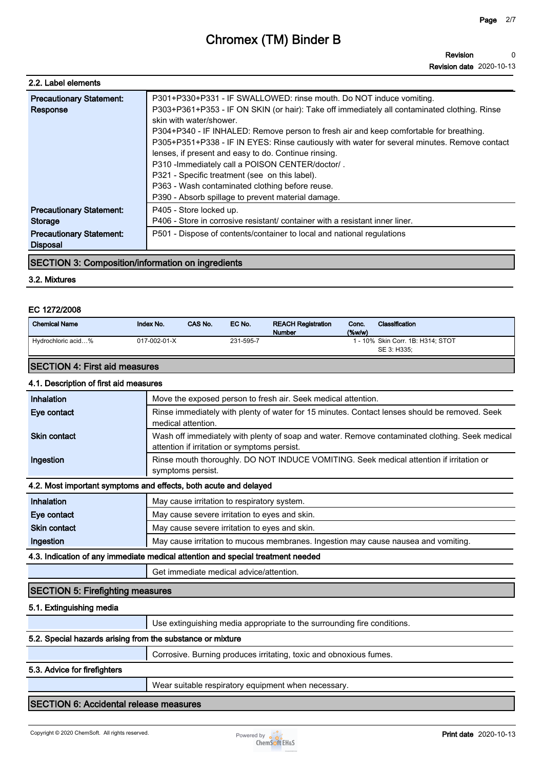| 2.2. Label elements                                                                              |                                                                                                                                                                                                                                                                                                                                                                                                                                                                                                                                                                                                                                                                 |
|--------------------------------------------------------------------------------------------------|-----------------------------------------------------------------------------------------------------------------------------------------------------------------------------------------------------------------------------------------------------------------------------------------------------------------------------------------------------------------------------------------------------------------------------------------------------------------------------------------------------------------------------------------------------------------------------------------------------------------------------------------------------------------|
| <b>Precautionary Statement:</b><br>Response                                                      | P301+P330+P331 - IF SWALLOWED: rinse mouth. Do NOT induce vomiting.<br>P303+P361+P353 - IF ON SKIN (or hair): Take off immediately all contaminated clothing. Rinse<br>skin with water/shower.<br>P304+P340 - IF INHALED: Remove person to fresh air and keep comfortable for breathing.<br>P305+P351+P338 - IF IN EYES: Rinse cautiously with water for several minutes. Remove contact<br>lenses, if present and easy to do. Continue rinsing.<br>P310 - Immediately call a POISON CENTER/doctor/.<br>P321 - Specific treatment (see on this label).<br>P363 - Wash contaminated clothing before reuse.<br>P390 - Absorb spillage to prevent material damage. |
| <b>Precautionary Statement:</b><br>Storage<br><b>Precautionary Statement:</b><br><b>Disposal</b> | P405 - Store locked up.<br>P406 - Store in corrosive resistant/ container with a resistant inner liner.<br>P501 - Dispose of contents/container to local and national regulations                                                                                                                                                                                                                                                                                                                                                                                                                                                                               |

## **SECTION 3: Composition/information on ingredients**

## **3.2. Mixtures**

## **EC 1272/2008**

| <b>Chemical Name</b> | Index No.    | CAS No. | EC No.    | <b>REACH Registration</b><br><b>Number</b> | Conc.<br>$(\%w/w)$ | Classification                                   |
|----------------------|--------------|---------|-----------|--------------------------------------------|--------------------|--------------------------------------------------|
| Hydrochloric acid%   | 017-002-01-X |         | 231-595-7 |                                            |                    | . - 10% Skin Corr. 1B: H314; STOT<br>SE 3: H335: |

## **SECTION 4: First aid measures**

| 4.1. Description of first aid measures |                                                                                                                                                |
|----------------------------------------|------------------------------------------------------------------------------------------------------------------------------------------------|
| Inhalation                             | Move the exposed person to fresh air. Seek medical attention.                                                                                  |
| Eye contact                            | Rinse immediately with plenty of water for 15 minutes. Contact lenses should be removed. Seek<br>medical attention.                            |
| <b>Skin contact</b>                    | Wash off immediately with plenty of soap and water. Remove contaminated clothing. Seek medical<br>attention if irritation or symptoms persist. |
| Ingestion                              | Rinse mouth thoroughly. DO NOT INDUCE VOMITING. Seek medical attention if irritation or<br>symptoms persist.                                   |
|                                        | 4.2. Most important symptoms and effects, both acute and delayed                                                                               |
| <b>Inhalation</b>                      | $M$ ou couse imitation to respiratory overage                                                                                                  |

| Inhalation          | May cause irritation to respiratory system.                                        |
|---------------------|------------------------------------------------------------------------------------|
| Eye contact         | May cause severe irritation to eyes and skin.                                      |
| <b>Skin contact</b> | May cause severe irritation to eyes and skin.                                      |
| Ingestion           | May cause irritation to mucous membranes. Ingestion may cause nausea and vomiting. |

### **4.3. Indication of any immediate medical attention and special treatment needed**

**Get immediate medical advice/attention.**

## **SECTION 5: Firefighting measures**

## **5.1. Extinguishing media**

**Use extinguishing media appropriate to the surrounding fire conditions.**

## **5.2. Special hazards arising from the substance or mixture**

**Corrosive. Burning produces irritating, toxic and obnoxious fumes.**

### **5.3. Advice for firefighters**

**Wear suitable respiratory equipment when necessary.**

## **SECTION 6: Accidental release measures**

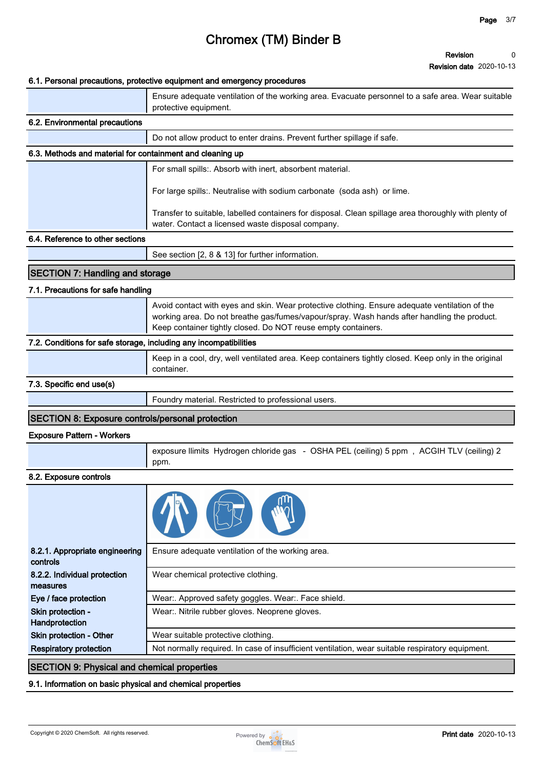### **Revision date 2020-10-13**

|                                                                   | <b>Revision date</b> 2020-10-13                                                                                                                              |
|-------------------------------------------------------------------|--------------------------------------------------------------------------------------------------------------------------------------------------------------|
|                                                                   | 6.1. Personal precautions, protective equipment and emergency procedures                                                                                     |
|                                                                   | Ensure adequate ventilation of the working area. Evacuate personnel to a safe area. Wear suitable<br>protective equipment.                                   |
| 6.2. Environmental precautions                                    |                                                                                                                                                              |
|                                                                   | Do not allow product to enter drains. Prevent further spillage if safe.                                                                                      |
| 6.3. Methods and material for containment and cleaning up         |                                                                                                                                                              |
|                                                                   | For small spills:. Absorb with inert, absorbent material.                                                                                                    |
|                                                                   | For large spills:. Neutralise with sodium carbonate (soda ash) or lime.                                                                                      |
|                                                                   | Transfer to suitable, labelled containers for disposal. Clean spillage area thoroughly with plenty of<br>water. Contact a licensed waste disposal company.   |
| 6.4. Reference to other sections                                  |                                                                                                                                                              |
|                                                                   | See section [2, 8 & 13] for further information.                                                                                                             |
| <b>SECTION 7: Handling and storage</b>                            |                                                                                                                                                              |
| 7.1. Precautions for safe handling                                |                                                                                                                                                              |
|                                                                   | Avoid contact with eyes and skin. Wear protective clothing. Ensure adequate ventilation of the                                                               |
|                                                                   | working area. Do not breathe gas/fumes/vapour/spray. Wash hands after handling the product.<br>Keep container tightly closed. Do NOT reuse empty containers. |
| 7.2. Conditions for safe storage, including any incompatibilities |                                                                                                                                                              |
|                                                                   | Keep in a cool, dry, well ventilated area. Keep containers tightly closed. Keep only in the original<br>container.                                           |
| 7.3. Specific end use(s)                                          |                                                                                                                                                              |
|                                                                   | Foundry material. Restricted to professional users.                                                                                                          |
| SECTION 8: Exposure controls/personal protection                  |                                                                                                                                                              |
| <b>Exposure Pattern - Workers</b>                                 |                                                                                                                                                              |
|                                                                   | exposure llimits Hydrogen chloride gas - OSHA PEL (ceiling) 5 ppm, ACGIH TLV (ceiling) 2<br>ppm.                                                             |
| 8.2. Exposure controls                                            |                                                                                                                                                              |
|                                                                   |                                                                                                                                                              |
| 8.2.1. Appropriate engineering<br>controls                        | Ensure adequate ventilation of the working area.                                                                                                             |
| 8.2.2. Individual protection<br>measures                          | Wear chemical protective clothing.                                                                                                                           |
| Eye / face protection                                             | Wear:. Approved safety goggles. Wear:. Face shield.                                                                                                          |
| Skin protection -<br>Handprotection                               | Wear:. Nitrile rubber gloves. Neoprene gloves.                                                                                                               |
| Skin protection - Other                                           | Wear suitable protective clothing.                                                                                                                           |
| <b>Respiratory protection</b>                                     | Not normally required. In case of insufficient ventilation, wear suitable respiratory equipment.                                                             |

## **SECTION 9: Physical and chemical properties**

## **9.1. Information on basic physical and chemical properties**

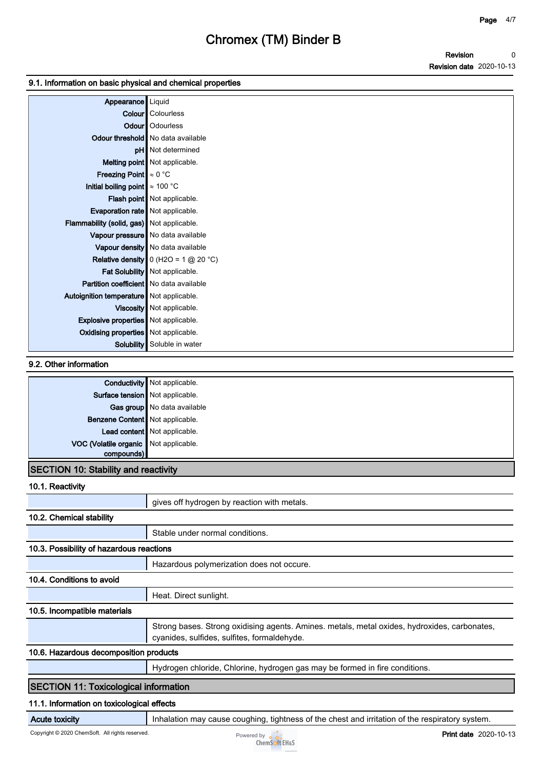## **9.1. Information on basic physical and chemical properties**

| Appearance   Liquid                            |                                          |
|------------------------------------------------|------------------------------------------|
|                                                | <b>Colour</b> Colourless                 |
|                                                | Odour   Odourless                        |
|                                                | <b>Odour threshold</b> No data available |
|                                                | <b>pH</b> Not determined                 |
|                                                | Melting point Not applicable.            |
| <b>Freezing Point</b> $\approx 0$ °C           |                                          |
| Initial boiling point $\approx 100$ °C         |                                          |
|                                                | Flash point   Not applicable.            |
| Evaporation rate   Not applicable.             |                                          |
| Flammability (solid, gas) Not applicable.      |                                          |
|                                                | Vapour pressure   No data available      |
|                                                | Vapour density No data available         |
|                                                | Relative density $0$ (H2O = 1 $@$ 20 °C) |
|                                                | Fat Solubility   Not applicable.         |
| <b>Partition coefficient</b> No data available |                                          |
| Autoignition temperature   Not applicable.     |                                          |
|                                                | Viscosity   Not applicable.              |
| <b>Explosive properties</b> Not applicable.    |                                          |
| Oxidising properties   Not applicable.         |                                          |
|                                                | <b>Solubility</b> Soluble in water       |

## **9.2. Other information**

|                                             | <b>Conductivity</b> Not applicable. |  |
|---------------------------------------------|-------------------------------------|--|
| Surface tension Not applicable.             |                                     |  |
|                                             | Gas group No data available         |  |
| Benzene Content Not applicable.             |                                     |  |
|                                             | Lead content   Not applicable.      |  |
| VOC (Volatile organic Not applicable.       |                                     |  |
| compounds)                                  |                                     |  |
| <b>SECTION 10: Stability and reactivity</b> |                                     |  |

## **10.1. Reactivity**

| <b>IU.I. Reacuvity</b>                       |                                                                                                                                             |
|----------------------------------------------|---------------------------------------------------------------------------------------------------------------------------------------------|
|                                              | gives off hydrogen by reaction with metals.                                                                                                 |
| 10.2. Chemical stability                     |                                                                                                                                             |
|                                              | Stable under normal conditions.                                                                                                             |
| 10.3. Possibility of hazardous reactions     |                                                                                                                                             |
|                                              | Hazardous polymerization does not occure.                                                                                                   |
| 10.4. Conditions to avoid                    |                                                                                                                                             |
|                                              | Heat. Direct sunlight.                                                                                                                      |
| 10.5. Incompatible materials                 |                                                                                                                                             |
|                                              | Strong bases. Strong oxidising agents. Amines. metals, metal oxides, hydroxides, carbonates,<br>cyanides, sulfides, sulfites, formaldehyde. |
| 10.6. Hazardous decomposition products       |                                                                                                                                             |
|                                              | Hydrogen chloride, Chlorine, hydrogen gas may be formed in fire conditions.                                                                 |
| <b>SECTION 11: Toxicological information</b> |                                                                                                                                             |
| 11.1. Information on toxicological effects   |                                                                                                                                             |

**Acute toxicity Inhalation may cause coughing, tightness of the chest and irritation of the respiratory system.** 

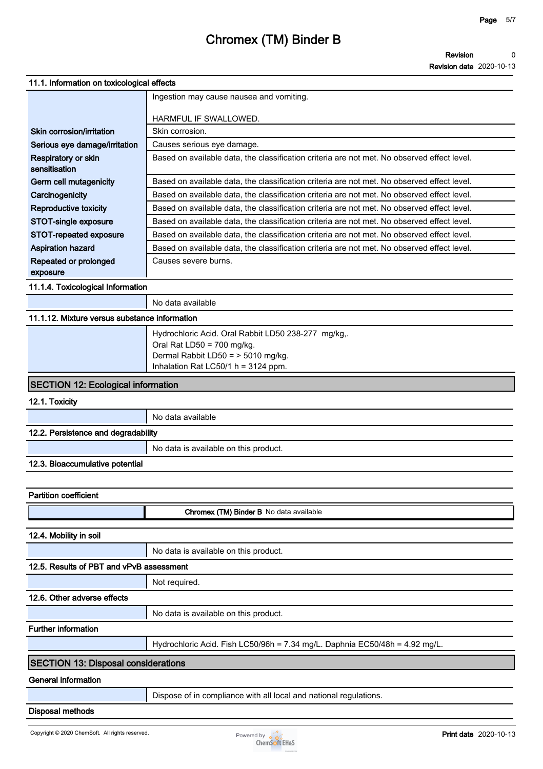| 11.1. Information on toxicological effects    |                                                                                             |
|-----------------------------------------------|---------------------------------------------------------------------------------------------|
|                                               | Ingestion may cause nausea and vomiting.                                                    |
|                                               | HARMFUL IF SWALLOWED.                                                                       |
| Skin corrosion/irritation                     | Skin corrosion.                                                                             |
| Serious eye damage/irritation                 | Causes serious eye damage.                                                                  |
| Respiratory or skin<br>sensitisation          | Based on available data, the classification criteria are not met. No observed effect level. |
| Germ cell mutagenicity                        | Based on available data, the classification criteria are not met. No observed effect level. |
| Carcinogenicity                               | Based on available data, the classification criteria are not met. No observed effect level. |
| <b>Reproductive toxicity</b>                  | Based on available data, the classification criteria are not met. No observed effect level. |
| STOT-single exposure                          | Based on available data, the classification criteria are not met. No observed effect level. |
| STOT-repeated exposure                        | Based on available data, the classification criteria are not met. No observed effect level. |
| <b>Aspiration hazard</b>                      | Based on available data, the classification criteria are not met. No observed effect level. |
| Repeated or prolonged<br>exposure             | Causes severe burns.                                                                        |
| 11.1.4. Toxicological Information             |                                                                                             |
|                                               | No data available                                                                           |
| 11.1.12. Mixture versus substance information |                                                                                             |
|                                               | Hydrochloric Acid. Oral Rabbit LD50 238-277 mg/kg,.                                         |
|                                               | Oral Rat LD50 = 700 mg/kg.                                                                  |
|                                               | Dermal Rabbit LD50 = > 5010 mg/kg.<br>Inhalation Rat LC50/1 h = 3124 ppm.                   |
| <b>SECTION 12: Ecological information</b>     |                                                                                             |
| 12.1. Toxicity                                |                                                                                             |
|                                               | No data available                                                                           |
| 12.2. Persistence and degradability           |                                                                                             |
|                                               | No data is available on this product.                                                       |
| 12.3. Bioaccumulative potential               |                                                                                             |
|                                               |                                                                                             |
| <b>Partition coefficient</b>                  |                                                                                             |
|                                               | Chromex (TM) Binder B No data available                                                     |
| 12.4. Mobility in soil                        |                                                                                             |
|                                               | No data is available on this product.                                                       |
| 12.5. Results of PBT and vPvB assessment      |                                                                                             |
|                                               | Not required.                                                                               |
| 12.6. Other adverse effects                   |                                                                                             |
|                                               | No data is available on this product.                                                       |
| <b>Further information</b>                    |                                                                                             |
|                                               | Hydrochloric Acid. Fish LC50/96h = 7.34 mg/L. Daphnia EC50/48h = 4.92 mg/L.                 |
| <b>SECTION 13: Disposal considerations</b>    |                                                                                             |
| <b>General information</b>                    |                                                                                             |

**Disposal methods**



**Dispose of in compliance with all local and national regulations.**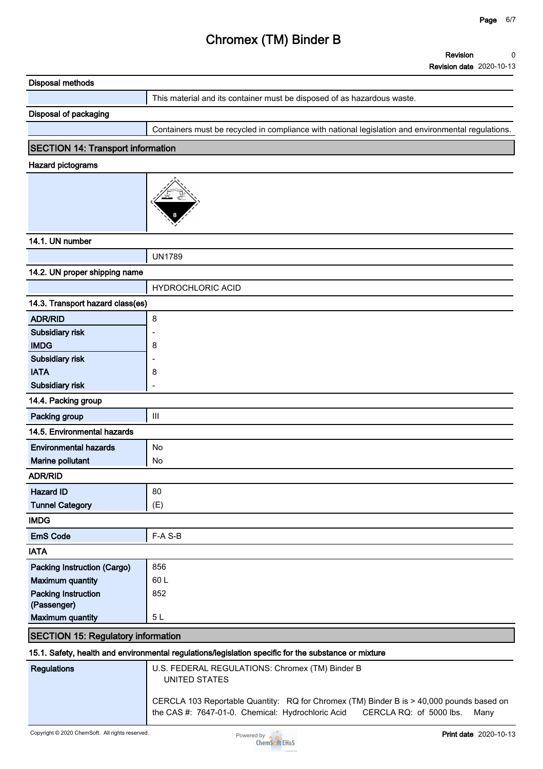| <b>Disposal methods</b>                   |                                                                                                                                                                                  |
|-------------------------------------------|----------------------------------------------------------------------------------------------------------------------------------------------------------------------------------|
|                                           | This material and its container must be disposed of as hazardous waste.                                                                                                          |
| Disposal of packaging                     |                                                                                                                                                                                  |
|                                           | Containers must be recycled in compliance with national legislation and environmental regulations.                                                                               |
| <b>SECTION 14: Transport information</b>  |                                                                                                                                                                                  |
| <b>Hazard pictograms</b>                  |                                                                                                                                                                                  |
|                                           |                                                                                                                                                                                  |
|                                           |                                                                                                                                                                                  |
|                                           |                                                                                                                                                                                  |
| 14.1. UN number                           |                                                                                                                                                                                  |
|                                           | <b>UN1789</b>                                                                                                                                                                    |
| 14.2. UN proper shipping name             |                                                                                                                                                                                  |
|                                           | <b>HYDROCHLORIC ACID</b>                                                                                                                                                         |
| 14.3. Transport hazard class(es)          |                                                                                                                                                                                  |
| <b>ADR/RID</b>                            | 8                                                                                                                                                                                |
| Subsidiary risk                           | ÷                                                                                                                                                                                |
| <b>IMDG</b>                               | 8                                                                                                                                                                                |
| <b>Subsidiary risk</b>                    |                                                                                                                                                                                  |
| <b>IATA</b>                               | 8                                                                                                                                                                                |
| Subsidiary risk                           | $\overline{a}$                                                                                                                                                                   |
| 14.4. Packing group                       |                                                                                                                                                                                  |
| Packing group                             | $\ensuremath{\mathsf{III}}\xspace$                                                                                                                                               |
| 14.5. Environmental hazards               |                                                                                                                                                                                  |
| <b>Environmental hazards</b>              | No                                                                                                                                                                               |
| Marine pollutant                          | No                                                                                                                                                                               |
| <b>ADR/RID</b>                            |                                                                                                                                                                                  |
| <b>Hazard ID</b>                          | 80                                                                                                                                                                               |
| <b>Tunnel Category</b>                    | (E)                                                                                                                                                                              |
| <b>IMDG</b>                               |                                                                                                                                                                                  |
| <b>EmS Code</b>                           | F-A S-B                                                                                                                                                                          |
| <b>IATA</b>                               |                                                                                                                                                                                  |
| <b>Packing Instruction (Cargo)</b>        | 856                                                                                                                                                                              |
| <b>Maximum quantity</b>                   | 60L                                                                                                                                                                              |
| <b>Packing Instruction</b><br>(Passenger) | 852                                                                                                                                                                              |
| <b>Maximum quantity</b>                   | 5L                                                                                                                                                                               |
| <b>SECTION 15: Regulatory information</b> |                                                                                                                                                                                  |
|                                           | 15.1. Safety, health and environmental regulations/legislation specific for the substance or mixture                                                                             |
| <b>Regulations</b>                        | U.S. FEDERAL REGULATIONS: Chromex (TM) Binder B<br><b>UNITED STATES</b>                                                                                                          |
|                                           | CERCLA 103 Reportable Quantity: RQ for Chromex (TM) Binder B is > 40,000 pounds based on<br>the CAS #: 7647-01-0. Chemical: Hydrochloric Acid<br>CERCLA RQ: of 5000 lbs.<br>Many |